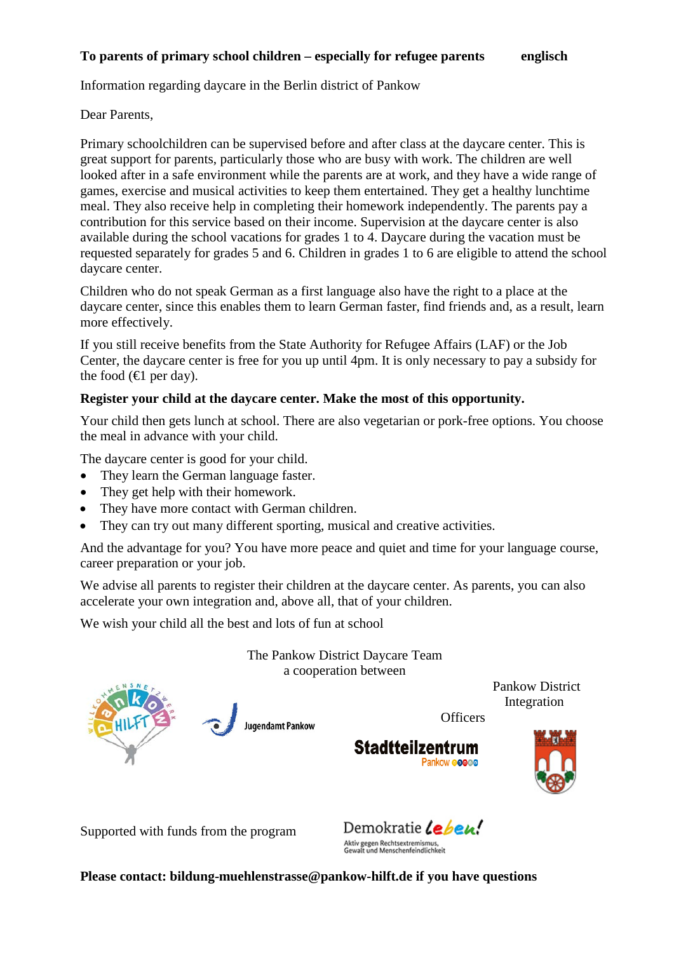# **To parents of primary school children – especially for refugee parents englisch**

Information regarding daycare in the Berlin district of Pankow

## Dear Parents,

Primary schoolchildren can be supervised before and after class at the daycare center. This is great support for parents, particularly those who are busy with work. The children are well looked after in a safe environment while the parents are at work, and they have a wide range of games, exercise and musical activities to keep them entertained. They get a healthy lunchtime meal. They also receive help in completing their homework independently. The parents pay a contribution for this service based on their income. Supervision at the daycare center is also available during the school vacations for grades 1 to 4. Daycare during the vacation must be requested separately for grades 5 and 6. Children in grades 1 to 6 are eligible to attend the school daycare center.

Children who do not speak German as a first language also have the right to a place at the daycare center, since this enables them to learn German faster, find friends and, as a result, learn more effectively.

If you still receive benefits from the State Authority for Refugee Affairs (LAF) or the Job Center, the daycare center is free for you up until 4pm. It is only necessary to pay a subsidy for the food  $(\text{€}$  per day).

#### **Register your child at the daycare center. Make the most of this opportunity.**

Your child then gets lunch at school. There are also vegetarian or pork-free options. You choose the meal in advance with your child.

The daycare center is good for your child.

- They learn the German language faster.
- They get help with their homework.
- They have more contact with German children.
- They can try out many different sporting, musical and creative activities.

**Jugendamt Pankow** 

And the advantage for you? You have more peace and quiet and time for your language course, career preparation or your job.

We advise all parents to register their children at the daycare center. As parents, you can also accelerate your own integration and, above all, that of your children.

We wish your child all the best and lots of fun at school

The Pankow District Daycare Team a cooperation between

 Pankow District Integration

**Officers** 





Supported with funds from the program

Demokratie Lebeu! Aktiv gegen Rechtsextremismus,<br>Gewalt und Menschenfeindlichkeit

**Please contact: bildung-muehlenstrasse@pankow-hilft.de if you have questions**